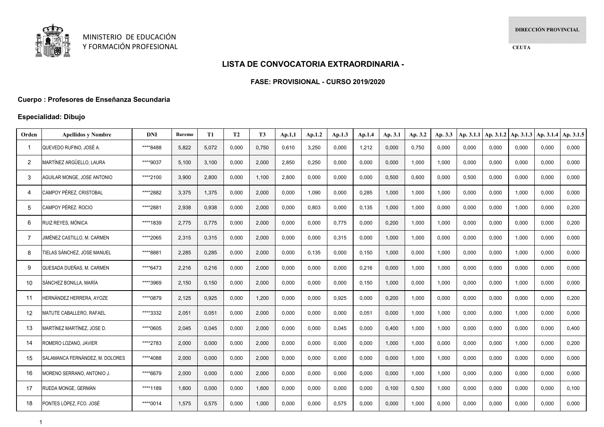

# **LISTA DE CONVOCATORIA EXTRAORDINARIA -**

#### **FASE: PROVISIONAL - CURSO 2019/2020**

## **Cuerpo : Profesores de Enseñanza Secundaria**

## **Especialidad: Dibujo**

| Orden          | <b>Apellidos y Nombre</b>       | <b>DNI</b> | Baremo | <b>T1</b> | <b>T2</b> | T <sub>3</sub> | Ap.1,1 | Ap.1.2 | Ap.1.3 | Ap.1.4 | Ap. 3.1 | Ap. 3.2 | Ap. 3.3 | Ap. 3.1.1 | Ap. 3.1.2 | Ap. 3.1.3 | Ap. 3.1.4 | Ap. 3.1.5 |
|----------------|---------------------------------|------------|--------|-----------|-----------|----------------|--------|--------|--------|--------|---------|---------|---------|-----------|-----------|-----------|-----------|-----------|
| -1             | QUEVEDO RUFINO, JOSÉ A.         | ****8488   | 5,822  | 5,072     | 0,000     | 0,750          | 0,610  | 3,250  | 0,000  | 1,212  | 0,000   | 0,750   | 0,000   | 0,000     | 0,000     | 0,000     | 0,000     | 0,000     |
| $\overline{2}$ | MARTÍNEZ ARGÜELLO. LAURA        | ****9037   | 5,100  | 3,100     | 0,000     | 2,000          | 2,850  | 0.250  | 0,000  | 0,000  | 0,000   | 1.000   | 1.000   | 0,000     | 0.000     | 0.000     | 0,000     | 0.000     |
| 3              | AGUILAR MONGE, JOSE ANTONIO     | ****2100   | 3,900  | 2,800     | 0,000     | 1,100          | 2,800  | 0,000  | 0,000  | 0,000  | 0,500   | 0,600   | 0,000   | 0,500     | 0,000     | 0,000     | 0,000     | 0,000     |
| 4              | CAMPOY PÉREZ. CRISTOBAL         | ****2882   | 3,375  | 1,375     | 0,000     | 2,000          | 0,000  | 1,090  | 0,000  | 0,285  | 1,000   | 1,000   | 1,000   | 0,000     | 0,000     | 1,000     | 0,000     | 0,000     |
| 5              | CAMPOY PÉREZ. ROCIO             | ****2881   | 2,938  | 0,938     | 0,000     | 2,000          | 0,000  | 0.803  | 0,000  | 0,135  | 1,000   | 1,000   | 0.000   | 0,000     | 0,000     | 1.000     | 0,000     | 0,200     |
| 6              | RUIZ REYES, MÓNICA              | ****1839   | 2,775  | 0,775     | 0,000     | 2,000          | 0,000  | 0.000  | 0,775  | 0,000  | 0,200   | 1,000   | 1,000   | 0,000     | 0.000     | 0,000     | 0,000     | 0.200     |
| 7              | JIMÉNEZ CASTILLO, M. CARMEN     | ****2065   | 2,315  | 0,315     | 0,000     | 2,000          | 0,000  | 0,000  | 0,315  | 0,000  | 1,000   | 1,000   | 0,000   | 0,000     | 0,000     | 1,000     | 0,000     | 0,000     |
| 8              | TIELAS SÁNCHEZ. JOSE MANUEL     | ****8881   | 2.285  | 0,285     | 0,000     | 2,000          | 0,000  | 0.135  | 0,000  | 0,150  | 1.000   | 0,000   | 1.000   | 0,000     | 0.000     | 1.000     | 0,000     | 0.000     |
| 9              | QUESADA DUEÑAS, M. CARMEN       | ****6473   | 2,216  | 0,216     | 0,000     | 2,000          | 0,000  | 0.000  | 0,000  | 0,216  | 0,000   | 1,000   | 1,000   | 0,000     | 0.000     | 0,000     | 0,000     | 0,000     |
| 10             | SÁNCHEZ BONILLA, MARÍA          | ****3969   | 2,150  | 0,150     | 0,000     | 2,000          | 0,000  | 0,000  | 0,000  | 0,150  | 1,000   | 0,000   | 1,000   | 0,000     | 0,000     | 1,000     | 0,000     | 0,000     |
| 11             | HERNÁNDEZ HERRERA, AYOZE        | ****0879   | 2.125  | 0.925     | 0.000     | 1,200          | 0.000  | 0.000  | 0.925  | 0.000  | 0.200   | 1,000   | 0.000   | 0.000     | 0.000     | 0.000     | 0,000     | 0.200     |
| 12             | <b>MATUTE CABALLERO, RAFAEL</b> | ****3332   | 2,051  | 0,051     | 0,000     | 2,000          | 0,000  | 0.000  | 0,000  | 0,051  | 0,000   | 1,000   | 1,000   | 0,000     | 0.000     | 1,000     | 0,000     | 0.000     |
| 13             | MARTÍNEZ MARTÍNEZ, JOSE D.      | ****0605   | 2,045  | 0,045     | 0,000     | 2,000          | 0,000  | 0,000  | 0,045  | 0,000  | 0,400   | 1,000   | 1,000   | 0,000     | 0,000     | 0,000     | 0,000     | 0,400     |
| 14             | ROMERO LOZANO, JAVIER           | ****2783   | 2,000  | 0,000     | 0,000     | 2,000          | 0,000  | 0.000  | 0,000  | 0,000  | 1,000   | 1,000   | 0.000   | 0,000     | 0.000     | 1,000     | 0,000     | 0.200     |
| 15             | SALAMANCA FERNÁNDEZ. M. DOLORES | ****4088   | 2,000  | 0,000     | 0,000     | 2,000          | 0,000  | 0.000  | 0,000  | 0,000  | 0,000   | 1,000   | 1,000   | 0,000     | 0.000     | 0,000     | 0,000     | 0,000     |
| 16             | MORENO SERRANO, ANTONIO J.      | ****6679   | 2,000  | 0,000     | 0,000     | 2,000          | 0,000  | 0,000  | 0,000  | 0,000  | 0,000   | 1,000   | 1,000   | 0,000     | 0,000     | 0,000     | 0,000     | 0,000     |
| 17             | RUEDA MONGE. GERMÁN             | ****1189   | 1,600  | 0,000     | 0,000     | 1,600          | 0,000  | 0.000  | 0,000  | 0,000  | 0.100   | 0,500   | 1,000   | 0,000     | 0.000     | 0,000     | 0,000     | 0.100     |
| 18             | PONTES LÓPEZ. FCO. JOSÉ         | ****0014   | 1,575  | 0.575     | 0.000     | 1,000          | 0.000  | 0.000  | 0,575  | 0,000  | 0,000   | 1.000   | 0.000   | 0.000     | 0.000     | 0,000     | 0.000     | 0.000     |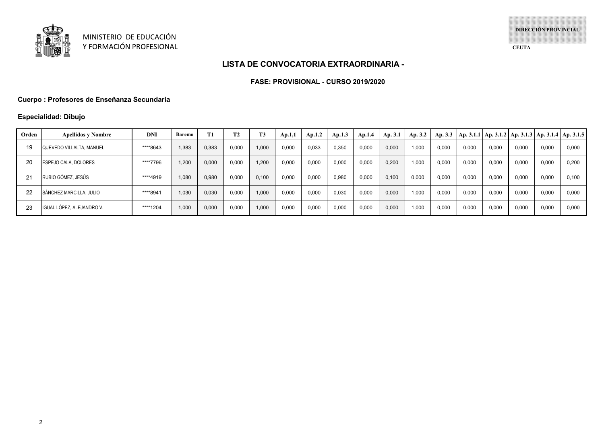

**CEUTA**

# **LISTA DE CONVOCATORIA EXTRAORDINARIA -**

### **FASE: PROVISIONAL - CURSO 2019/2020**

## **Cuerpo : Profesores de Enseñanza Secundaria**

## **Especialidad: Dibujo**

| Orden | <b>Apellidos y Nombre</b>   | <b>DNI</b> | <b>Baremo</b> | <b>T1</b> | <b>T2</b> | T <sub>3</sub> | Ap.1,1 | Ap.1.2 | Ap.1.3 | Ap.1.4 | Ap. 3.1 | Ap. 3.2 | Ap. $3.3$ |       |       |       |       | Ap. 3.1.1   Ap. 3.1.2   Ap. 3.1.3   Ap. 3.1.4   Ap. 3.1.5 |
|-------|-----------------------------|------------|---------------|-----------|-----------|----------------|--------|--------|--------|--------|---------|---------|-----------|-------|-------|-------|-------|-----------------------------------------------------------|
| 19    | QUEVEDO VILLALTA, MANUEL    | ****8643   | 1.383         | 0,383     | 0,000     | 1,000          | 0,000  | 0,033  | 0,350  | 0.000  | 0.000   | 1,000   | 0,000     | 0.000 | 0,000 | 0,000 | 0,000 | 0,000                                                     |
| 20    | <b>ESPEJO CALA, DOLORES</b> | ****7796   | 1.200         | 0,000     | 0,000     | 1,200          | 0,000  | 0,000  | 0,000  | 0.000  | 0.200   | 1.000   | 0,000     | 0,000 | 0,000 | 0,000 | 0,000 | 0,200                                                     |
| 21    | RUBIO GÓMEZ, JESÚS          | ****4919   | 1.080         | 0.980     | 0.000     | 0,100          | 0.000  | 0,000  | 0,980  | 0.000  | 0.100   | 0.000   | 0,000     | 0.000 | 0.000 | 0,000 | 0,000 | 0.100                                                     |
| 22    | SÁNCHEZ MARCILLA, JULIO     | ****8941   | 1,030         | 0,030     | 0,000     | 1,000          | 0,000  | 0,000  | 0,030  | 0.000  | 0.000   | 1.000   | 0,000     | 0.000 | 0,000 | 0,000 | 0,000 | 0,000                                                     |
| 23    | IGUAL LÓPEZ. ALEJANDRO V.   | ****1204   | 1.000         | 0,000     | 0,000     | 1,000          | 0,000  | 0,000  | 0,000  | 0.000  | 0.000   | 1,000   | 0,000     | 0.000 | 0.000 | 0,000 | 0,000 | 0,000                                                     |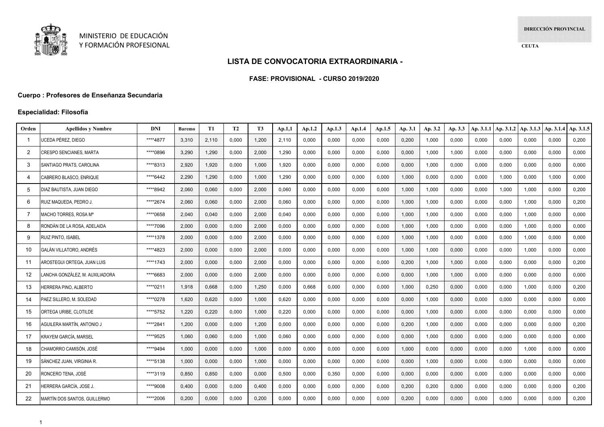

**CEUTA**

### **LISTA DE CONVOCATORIA EXTRAORDINARIA -**

#### **FASE: PROVISIONAL - CURSO 2019/2020**

### **Cuerpo : Profesores de Enseñanza Secundaria**

### **Especialidad: Filosofía**

| Orden          | <b>Apellidos y Nombre</b>       | DNI      | <b>Baremo</b> | <b>T1</b> | <b>T2</b> | T <sub>3</sub> | Ap.1,1 | Ap.1.2 | Ap.1.3 | Ap.1.4 | Ap.1.5 | Ap. 3.1 | Ap. 3.2 | Ap. 3.3 | Ap. 3.1.1 | Ap. 3.1.2 | Ap. 3.1.3 | Ap. 3.1.4 | Ap. 3.1.5 |
|----------------|---------------------------------|----------|---------------|-----------|-----------|----------------|--------|--------|--------|--------|--------|---------|---------|---------|-----------|-----------|-----------|-----------|-----------|
| -1             | JCEDA PÉREZ. DIEGO              | ****4877 | 3,310         | 2,110     | 0,000     | 1,200          | 2,110  | 0,000  | 0,000  | 0,000  | 0,000  | 0,200   | 1,000   | 0,000   | 0.000     | 0,000     | 0.000     | 0,000     | 0,200     |
| $\overline{2}$ | CRESPO SENCIANES, MARTA         | ****0896 | 3,290         | 1,290     | 0,000     | 2,000          | 1.290  | 0,000  | 0,000  | 0,000  | 0,000  | 0.000   | 1,000   | 1,000   | 0.000     | 0,000     | 0.000     | 0,000     | 0,000     |
| 3              | SANTIAGO PRATS. CAROLINA        | ****8313 | 2,920         | 1,920     | 0,000     | 1,000          | 1.920  | 0,000  | 0,000  | 0,000  | 0,000  | 0.000   | 1,000   | 0,000   | 0,000     | 0,000     | 0.000     | 0,000     | 0,000     |
| 4              | CABRERO BLASCO. ENRIQUE         | ****6442 | 2,290         | 1,290     | 0,000     | 1,000          | 1,290  | 0,000  | 0,000  | 0,000  | 0,000  | 1,000   | 0,000   | 0,000   | 0,000     | 1,000     | 0,000     | 1,000     | 0,000     |
| .5             | DIAZ BAUTISTA, JUAN DIEGO       | ****8942 | 2,060         | 0.060     | 0,000     | 2,000          | 0,060  | 0,000  | 0.000  | 0,000  | 0,000  | 1,000   | 1,000   | 0,000   | 0,000     | 1,000     | 1.000     | 0,000     | 0,200     |
| 6              | RUIZ MAQUEDA. PEDRO J.          | ****2674 | 2,060         | 0,060     | 0,000     | 2,000          | 0.060  | 0,000  | 0,000  | 0,000  | 0,000  | 1.000   | 1,000   | 0,000   | 0.000     | 0,000     | 1.000     | 0,000     | 0,200     |
| 7              | MACHO TORRES. ROSA Mª           | ****0658 | 2,040         | 0,040     | 0,000     | 2,000          | 0,040  | 0,000  | 0,000  | 0,000  | 0,000  | 1,000   | 1,000   | 0,000   | 0,000     | 0,000     | 1.000     | 0,000     | 0,000     |
| 8              | RONDÁN DE LA ROSA. ADELAIDA     | ****7096 | 2,000         | 0,000     | 0,000     | 2,000          | 0,000  | 0,000  | 0,000  | 0,000  | 0,000  | 1,000   | 1,000   | 0,000   | 0,000     | 0,000     | 1,000     | 0,000     | 0,000     |
| 9              | <b>RUIZ PINTO, ISABEL</b>       | ****1378 | 2,000         | 0,000     | 0,000     | 2,000          | 0,000  | 0,000  | 0,000  | 0,000  | 0,000  | 1,000   | 1,000   | 0,000   | 0,000     | 0,000     | 1,000     | 0,000     | 0,000     |
| 10             | GALÁN VILLATORO, ANDRÉS         | ****4823 | 2,000         | 0,000     | 0,000     | 2,000          | 0,000  | 0,000  | 0,000  | 0,000  | 0,000  | 1,000   | 1,000   | 0,000   | 0,000     | 0,000     | 1,000     | 0,000     | 0,000     |
| -11            | AROSTEGUI ORTEGA, JUAN LUIS     | ****1743 | 2,000         | 0,000     | 0,000     | 2,000          | 0,000  | 0,000  | 0,000  | 0,000  | 0,000  | 0,200   | 1,000   | 1,000   | 0,000     | 0,000     | 0,000     | 0,000     | 0,200     |
| 12             | ANCHA GONZÁLEZ. M. AUXILIADORA. | ****6683 | 2,000         | 0,000     | 0,000     | 2,000          | 0,000  | 0,000  | 0,000  | 0,000  | 0,000  | 0,000   | 1,000   | 1,000   | 0,000     | 0,000     | 0,000     | 0,000     | 0,000     |
| 13             | <b>HERRERA PINO, ALBERTO</b>    | ****0211 | 1,918         | 0,668     | 0,000     | 1,250          | 0,000  | 0,668  | 0,000  | 0,000  | 0,000  | 1,000   | 0,250   | 0,000   | 0,000     | 0,000     | 1.000     | 0,000     | 0,200     |
| 14             | PAEZ SILLERO, M. SOLEDAD        | ****0278 | 1,620         | 0,620     | 0,000     | 1,000          | 0,620  | 0,000  | 0,000  | 0,000  | 0,000  | 0,000   | 1,000   | 0,000   | 0,000     | 0,000     | 0,000     | 0,000     | 0,000     |
| 15             | )RTEGA URIBE, CLOTILDE          | ****5752 | 1,220         | 0,220     | 0,000     | 1,000          | 0,220  | 0,000  | 0,000  | 0,000  | 0,000  | 0,000   | 1,000   | 0,000   | 0,000     | 0,000     | 0,000     | 0,000     | 0,000     |
| 16             | AGUILERA MARTÍN. ANTONIO J      | ****2841 | 1,200         | 0,000     | 0,000     | 1,200          | 0,000  | 0,000  | 0,000  | 0,000  | 0,000  | 0,200   | 1,000   | 0,000   | 0,000     | 0,000     | 0,000     | 0,000     | 0,200     |
| -17            | KRAYEM GARCÍA. MARSEL           | ****9525 | 1,060         | 0,060     | 0,000     | 1,000          | 0,060  | 0,000  | 0,000  | 0,000  | 0,000  | 0,000   | 1,000   | 0,000   | 0,000     | 0,000     | 0,000     | 0,000     | 0,000     |
| 18             | CHAMORRO CAMISÓN, JOSÉ          | ****9494 | 1,000         | 0,000     | 0,000     | 1,000          | 0,000  | 0,000  | 0,000  | 0,000  | 0,000  | 1,000   | 0,000   | 0,000   | 0,000     | 0,000     | 1,000     | 0,000     | 0,000     |
| 19             | SÁNCHEZ JUAN, VIRGINIA R.       | ****5138 | 1,000         | 0,000     | 0,000     | 1,000          | 0,000  | 0,000  | 0,000  | 0,000  | 0,000  | 0,000   | 1,000   | 0,000   | 0,000     | 0,000     | 0,000     | 0,000     | 0,000     |
| 20             | RONCERO TENA, JOSÉ              | ****3119 | 0,850         | 0,850     | 0,000     | 0,000          | 0,500  | 0,000  | 0,350  | 0,000  | 0,000  | 0,000   | 0,000   | 0,000   | 0,000     | 0,000     | 0,000     | 0,000     | 0,000     |
| 21             | HERRERA GARCÍA. JOSE J.         | ****9008 | 0,400         | 0,000     | 0,000     | 0,400          | 0,000  | 0,000  | 0,000  | 0,000  | 0,000  | 0,200   | 0,200   | 0,000   | 0,000     | 0,000     | 0,000     | 0,000     | 0,200     |
| 22             | MARTÍN DOS SANTOS. GUILLERMO    | ****2006 | 0.200         | 0.000     | 0,000     | 0,200          | 0.000  | 0.000  | 0.000  | 0,000  | 0,000  | 0.200   | 0,000   | 0.000   | 0.000     | 0,000     | 0.000     | 0,000     | 0.200     |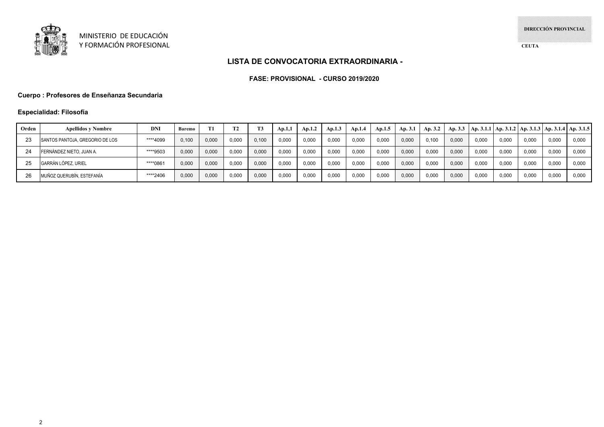

**CEUTA**

### **LISTA DE CONVOCATORIA EXTRAORDINARIA -**

#### **FASE: PROVISIONAL - CURSO 2019/2020**

### **Cuerpo : Profesores de Enseñanza Secundaria**

### **Especialidad: Filosofía**

| Orden | <b>Apellidos y Nombre</b>       | DNI      | Baremo |       | T <sub>2</sub> |       | Ap.1,1 | Ap.1.2 | Ap.1.3 | Ap.1.4 | Ap.1.5 | Ap. 3.1 | Ap. 3.2 |       |       | Ap. 3.3   Ap. 3.1.1   Ap. 3.1.2   Ap. 3.1.3   Ap. 3.1.4   Ap. 3.1.5 |       |       |       |
|-------|---------------------------------|----------|--------|-------|----------------|-------|--------|--------|--------|--------|--------|---------|---------|-------|-------|---------------------------------------------------------------------|-------|-------|-------|
|       | SANTOS PANTOJA, GREGORIO DE LOS | ****4099 | 0,100  | 0,000 | 0,000          | 0.100 | 0.000  | 0,000  | 0,000  | 0,000  | 0,000  | 0,000   | 0,100   | 0.000 | 0,000 | 0,000                                                               | 0,000 | 0,000 | 0,000 |
| 24    | FERNÁNDEZ NIETO. JUAN A.        | ****9503 | 0,000  | 0,000 | 0,000          | 0.000 | 0.000  | 0,000  | 0.000  | 0,00   | 0.000  | 0,000   | 0,000   | 0.000 | 0,000 | 0.000                                                               | 0.000 | 0,000 | 0,000 |
|       | GARRÁN LÓPEZ. URIEL             | ****0861 | 0,000  | 0,000 | 0,000          | 0,000 | 0.000  | 0,000  | 0,000  | 0,000  | 0.000  | 0,000   | 0,000   | 0.000 | 0,000 | 0.000                                                               | 0,000 | 0,000 | 0,000 |
|       | MUÑOZ QUERUBÍN. ESTEFANÍA       | ****2406 | 0.000  | 0,000 | 0.000          | 0,000 | 0.000  | 0.000  | 0.000  | 0,000  | 0.000  | 0,000   | 0.000   | 0.000 | 0,000 | 0.000                                                               | 0.000 | 0.000 | 0,000 |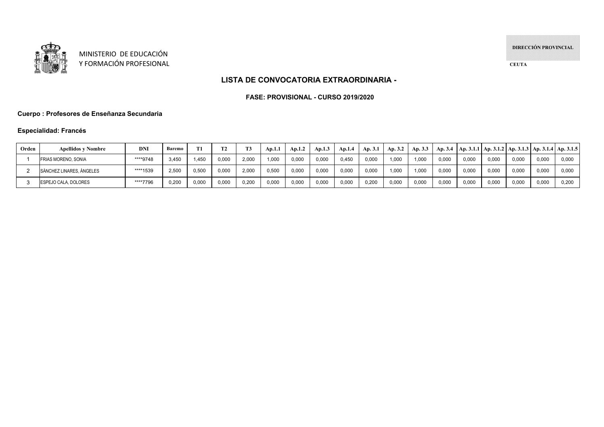

MINISTERIO DE EDUCACIÓN Y FORMACIÓN PROFESIONAL **DIRECCIÓN PROVINCIAL**

**CEUTA**

## **LISTA DE CONVOCATORIA EXTRAORDINARIA -**

#### **FASE: PROVISIONAL - CURSO 2019/2020**

## **Cuerpo : Profesores de Enseñanza Secundaria**

## **Especialidad: Francés**

| Orden | <b>Apellidos v Nombre</b>   | DNI      | Baremo |       |       |       | Ap.1.1 | Ap.1.2 | Ap.1.3 | Ap.1.4 | Ap. 3.1 | Ap. 3.2 | Ap. 3.3 | Ap. 3.4 | $ $ Ap. 3.1.1   Ap. 3.1.2   Ap. 3.1.3   Ap. 3.1.4   Ap. 3.1.5 |       |       |       |       |
|-------|-----------------------------|----------|--------|-------|-------|-------|--------|--------|--------|--------|---------|---------|---------|---------|---------------------------------------------------------------|-------|-------|-------|-------|
|       | FRIAS MORENO, SONIA         | ****9748 | 3.450  | 1,450 | 0,000 | 2.000 | 000,   | 0,000  | 0,000  | 0,450  | 0.000   | 1.000   | 000.1   | 0.000   | 0.000                                                         | 0,000 | 0.000 | 0.000 | 0,000 |
|       | SÁNCHEZ LINARES, ÁNGELES    | ****1539 | 2.500  | 0,500 | 0,000 | 2.000 | 0.500  | 0,000  | 0,000  | 0.000  | 0.000   | 1.000   | 1.000   | 0.000   | 0.000                                                         | 0.000 | 0.000 | 0.000 | 0.000 |
|       | <b>ESPEJO CALA, DOLORES</b> | ****7796 | 0,200  | 0,000 | 0,000 | 0,200 | 0,000  | 0,000  | 0,000  | 0,000  | 0,200   | 0,000   | 0,000   | 0.000   | 0,000                                                         | 0,000 | 0,000 | 0,000 | 0,200 |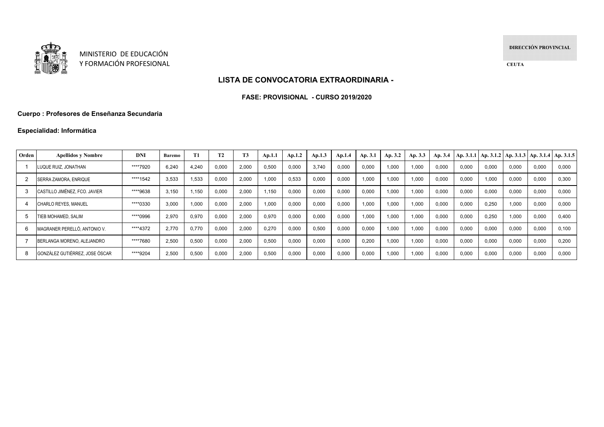

MINISTERIO DE EDUCACIÓNY FORMACIÓN PROFESIONAL **DIRECCIÓN PROVINCIAL**

**CEUTA**

## **LISTA DE CONVOCATORIA EXTRAORDINARIA -**

#### **FASE: PROVISIONAL - CURSO 2019/2020**

## **Cuerpo : Profesores de Enseñanza Secundaria**

## **Especialidad: Informática**

| Orden | <b>Apellidos v Nombre</b>      | <b>DNI</b> | Baremo | T1    | T <sub>2</sub> | T <sub>3</sub> | Ap.1.1 | Ap.1.2 | Ap.1.3 | Ap.1.4 | Ap. 3.1 | Ap. 3.2 | Ap. 3.3 | Ap. 3.4 |       |       | Ap. 3.1.1   Ap. 3.1.2   Ap. 3.1.3   Ap. 3.1.4   Ap. 3.1.5 |       |       |
|-------|--------------------------------|------------|--------|-------|----------------|----------------|--------|--------|--------|--------|---------|---------|---------|---------|-------|-------|-----------------------------------------------------------|-------|-------|
|       | LUQUE RUIZ. JONATHAN           | ****7920   | 6.240  | 4,240 | 0,000          | 2,000          | 0,500  | 0,000  | 3,740  | 0,000  | 0,000   | 1,000   | 1,000   | 0.000   | 0,000 | 0,000 | 0,000                                                     | 0,000 | 0.000 |
|       | SERRA ZAMORA, ENRIQUE          | ****1542   | 3,533  | 1,533 | 0,000          | 2,000          | 1,000  | 0,533  | 0,000  | 0,000  | .000    | 1,000   | 1,000   | 0,000   | 0,000 | 1.000 | 0,000                                                     | 0,000 | 0.300 |
|       | CASTILLO JIMÉNEZ, FCO, JAVIER  | ****9638   | 3.150  | 1,150 | 0,000          | 2,000          | 1.150  | 0,000  | 0,000  | 0.000  | 0.000   | 1,000   | 1.000   | 0,000   | 0,000 | 0.000 | 0.000                                                     | 0,000 | 0.000 |
|       | CHARLO REYES, MANUEL           | ****0330   | 3.000  | 1.000 | 0,000          | 2,000          | 1,000  | 0,000  | 0,000  | 0.000  | .000    | 1,000   | 1.000   | 0,000   | 0,000 | 0.250 | 1.000                                                     | 0,000 | 0.000 |
|       | TIEB MOHAMED, SALIM            | ****0996   | 2.970  | 0,970 | 0,000          | 2,000          | 0,970  | 0,000  | 0,000  | 0.000  | .000    | 1.000   | 1,000   | 0,000   | 0,000 | 0.250 | 1.000                                                     | 0,000 | 0.400 |
| 6     | MAGRANER PERELLÓ, ANTONIO V.   | ****4372   | 2.770  | 0.770 | 0,000          | 2,000          | 0,270  | 0,000  | 0,500  | 0.000  | 0.000   | 1,000   | 1,000   | 0.000   | 0,000 | 0,000 | 0,000                                                     | 0,000 | 0.100 |
|       | BERLANGA MORENO, ALEJANDRO     | ****7680   | 2.500  | 0,500 | 0,000          | 2,000          | 0,500  | 0,000  | 0,000  | 0.000  | 0.200   | 1,000   | 1,000   | 0,000   | 0,000 | 0.000 | 0,000                                                     | 0,000 | 0.200 |
| -8    | GONZÁLEZ GUTIÉRREZ. JOSE ÓSCAR | ****9204   | 2.500  | 0,500 | 0,000          | 2,000          | 0,500  | 0,000  | 0,000  | 0,000  | 0,000   | 1,000   | 1,000   | 0,000   | 0,000 | 0,000 | 0,000                                                     | 0,000 | 0.000 |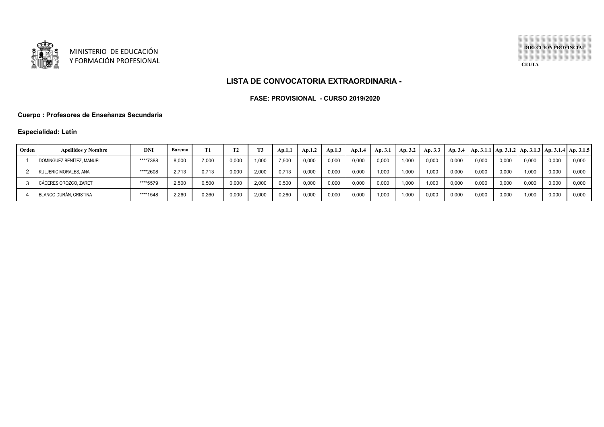

**DIRECCIÓN PROVINCIAL**

**CEUTA**

### **LISTA DE CONVOCATORIA EXTRAORDINARIA -**

#### **FASE: PROVISIONAL - CURSO 2019/2020**

#### **Cuerpo : Profesores de Enseñanza Secundaria**

## **Especialidad: Latín**

| Orden | <b>Apellidos y Nombre</b> | <b>DNI</b> | Baremo |       | ጥኅ    | <b>T3</b> | Ap.1.1 | Ap.1.2 | Ap.1.3 | Ap.1.4 | Ap. 3.1 | Ap. 3.2 | Ap. 3.3 | Ap. 3.4 |       |       |       |       | Ap. 3.1.1   Ap. 3.1.2   Ap. 3.1.3   Ap. 3.1.4   Ap. 3.1.5 |
|-------|---------------------------|------------|--------|-------|-------|-----------|--------|--------|--------|--------|---------|---------|---------|---------|-------|-------|-------|-------|-----------------------------------------------------------|
|       | DOMINGUEZ BENÍTEZ, MANUEL | ****7388   | 8.000  | 7.000 | 0,000 | 1.000     | 7.500  | 0,000  | 0.000  | 0,000  | 0.000   | 1,000   | 0,000   | 0.00    | 0,000 | 0.000 | 0,000 | 0,000 | 0,000                                                     |
|       | KULJERIC MORALES, ANA     | ****2608   | 2.713  | 0.713 | 0,000 | 2,000     | 0.713  | 0,000  | 0.000  | 0,000  | 1.000   | 1.000   | 1.000   | 0.00    | 0,000 | 0,000 | 1.000 | 0,000 | 0,000                                                     |
|       | CÁCERES OROZCO, ZARET     | ****5579   | 2,500  | 0,500 | 0,000 | 2.000     | 0,500  | 0,000  | 0.000  | 0,000  | 0.000   | 1,000   | 1.000   | 0.00    | 0,000 | 0,000 | 0,000 | 0,000 | 0,000                                                     |
|       | BLANCO DURÁN, CRISTINA    | ****1548   | 2.260  | 0.260 | 0,000 | 2.000     | 0.260  | 0,000  | 0.000  | 0,000  | 1.000   | 1.000   | 0.000   | 0.00    | 0,000 | 0.000 | 1.000 | 0,000 | 0,000                                                     |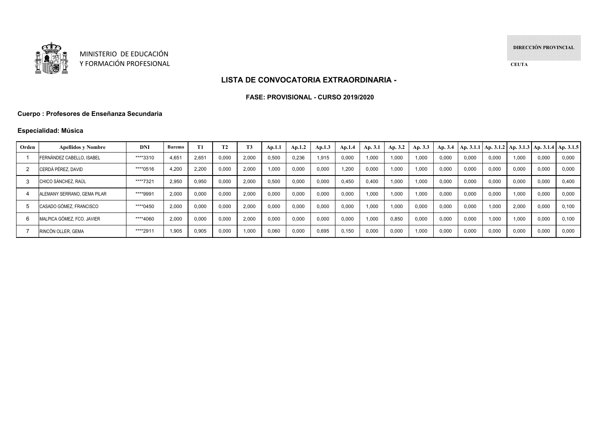

**DIRECCIÓN PROVINCIAL**

**CEUTA**

#### **LISTA DE CONVOCATORIA EXTRAORDINARIA -**

#### **FASE: PROVISIONAL - CURSO 2019/2020**

## **Cuerpo : Profesores de Enseñanza Secundaria**

## **Especialidad: Música**

| Orden | <b>Apellidos v Nombre</b>        | <b>DNI</b> | <b>Baremo</b> | T1    | <b>T2</b> | T <sub>3</sub> | Ap.1.1 | Ap.1.2 | Ap.1.3 | Ap.1.4 | Ap. 3.1 | Ap. 3.2 | Ap. 3.3 | Ap. 3.4 |       |       | $\vert$ Ap. 3.1.1   Ap. 3.1.2   Ap. 3.1.3   Ap. 3.1.4   Ap. 3.1.5 |       |       |
|-------|----------------------------------|------------|---------------|-------|-----------|----------------|--------|--------|--------|--------|---------|---------|---------|---------|-------|-------|-------------------------------------------------------------------|-------|-------|
|       | <b>FERNÁNDEZ CABELLO, ISABEL</b> | ****3310   | 4.651         | 2.65' | 0,000     | 2,000          | 0,500  | 0,236  | 1,915  | 0,000  | 1.000   | 1,000   | 1,000   | 0,000   | 0.000 | 0.000 | 1.000                                                             | 0,000 | 0,000 |
|       | CERDÁ PÉREZ. DAVID               | ****0516   | 4.200         | 2,200 | 0.000     | 2.000          | 1.000  | 0,000  | 0,000  | 1.200  | 0.000   | 1,000   | 1,000   | 0.000   | 0,000 | 0.000 | 0,000                                                             | 0.000 | 0,000 |
|       | CHICO SÁNCHEZ, RAÚL              | ****7321   | 2.950         | 0,950 | 0.000     | 2,000          | 0,500  | 0,000  | 0,000  | 0.450  | 0.400   | 1,000   | 1.000   | 0.000   | 0.000 | 0.000 | 0,000                                                             | 0.000 | 0.400 |
|       | ALEMANY SERRANO. GEMA PILAR      | ****9991   | 2.000         | 0.000 | 0.000     | 2.000          | 0.000  | 0,000  | 0,000  | 0.000  | 1.000   | 1.000   | 1.000   | 0.000   | 0.000 | 0.000 | 1.000                                                             | 0.000 | 0.000 |
|       | CASADO GÓMEZ, FRANCISCO          | ****0450   | 2.000         | 0.000 | 0.000     | 2.000          | 0.000  | 0.000  | 0,000  | 0.000  | 1.000   | 1,000   | 0.000   | 0.000   | 0.000 | 1.000 | 2.000                                                             | 0.000 | 0.100 |
|       | MALPICA GÓMEZ, FCO, JAVIER       | ****4060   | 2.000         | 0,000 | 0.000     | 2,000          | 0,000  | 0,000  | 0,000  | 0,000  | 1,000   | 0,850   | 0.000   | 0.000   | 0.000 | 1.000 | 1.000                                                             | 0.000 | 0.100 |
|       | RINCÓN OLLER, GEMA               | ****2911   | .905          | 0,905 | 0,000     | 1,000          | 0,060  | 0,000  | 0,695  | 0,150  | 0,000   | 0,000   | 1,000   | 0,000   | 0,000 | 0.000 | 0,000                                                             | 0,000 | 0,000 |